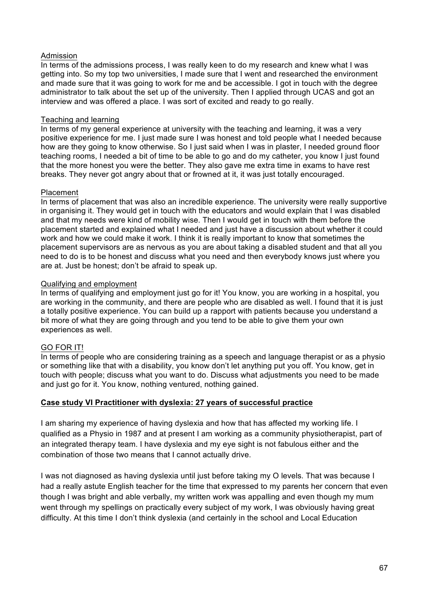# Admission

In terms of the admissions process, I was really keen to do my research and knew what I was getting into. So my top two universities, I made sure that I went and researched the environment and made sure that it was going to work for me and be accessible. I got in touch with the degree administrator to talk about the set up of the university. Then I applied through UCAS and got an interview and was offered a place. I was sort of excited and ready to go really.

### Teaching and learning

In terms of my general experience at university with the teaching and learning, it was a very positive experience for me. I just made sure I was honest and told people what I needed because how are they going to know otherwise. So I just said when I was in plaster, I needed ground floor teaching rooms, I needed a bit of time to be able to go and do my catheter, you know I just found that the more honest you were the better. They also gave me extra time in exams to have rest breaks. They never got angry about that or frowned at it, it was just totally encouraged.

### Placement

In terms of placement that was also an incredible experience. The university were really supportive in organising it. They would get in touch with the educators and would explain that I was disabled and that my needs were kind of mobility wise. Then I would get in touch with them before the placement started and explained what I needed and just have a discussion about whether it could work and how we could make it work. I think it is really important to know that sometimes the placement supervisors are as nervous as you are about taking a disabled student and that all you need to do is to be honest and discuss what you need and then everybody knows just where you are at. Just be honest; don't be afraid to speak up.

## Qualifying and employment

In terms of qualifying and employment just go for it! You know, you are working in a hospital, you are working in the community, and there are people who are disabled as well. I found that it is just a totally positive experience. You can build up a rapport with patients because you understand a bit more of what they are going through and you tend to be able to give them your own experiences as well.

### GO FOR IT!

In terms of people who are considering training as a speech and language therapist or as a physio or something like that with a disability, you know don't let anything put you off. You know, get in touch with people; discuss what you want to do. Discuss what adjustments you need to be made and just go for it. You know, nothing ventured, nothing gained.

# **Case study VI Practitioner with dyslexia: 27 years of successful practice**

I am sharing my experience of having dyslexia and how that has affected my working life. I qualified as a Physio in 1987 and at present I am working as a community physiotherapist, part of an integrated therapy team. I have dyslexia and my eye sight is not fabulous either and the combination of those two means that I cannot actually drive.

I was not diagnosed as having dyslexia until just before taking my O levels. That was because I had a really astute English teacher for the time that expressed to my parents her concern that even though I was bright and able verbally, my written work was appalling and even though my mum went through my spellings on practically every subject of my work, I was obviously having great difficulty. At this time I don't think dyslexia (and certainly in the school and Local Education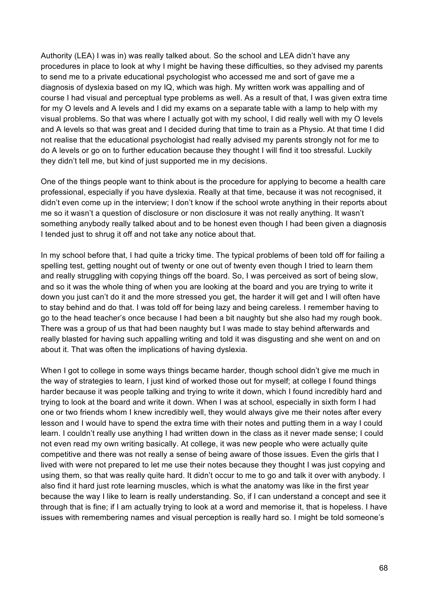Authority (LEA) I was in) was really talked about. So the school and LEA didn't have any procedures in place to look at why I might be having these difficulties, so they advised my parents to send me to a private educational psychologist who accessed me and sort of gave me a diagnosis of dyslexia based on my IQ, which was high. My written work was appalling and of course I had visual and perceptual type problems as well. As a result of that, I was given extra time for my O levels and A levels and I did my exams on a separate table with a lamp to help with my visual problems. So that was where I actually got with my school, I did really well with my O levels and A levels so that was great and I decided during that time to train as a Physio. At that time I did not realise that the educational psychologist had really advised my parents strongly not for me to do A levels or go on to further education because they thought I will find it too stressful. Luckily they didn't tell me, but kind of just supported me in my decisions.

One of the things people want to think about is the procedure for applying to become a health care professional, especially if you have dyslexia. Really at that time, because it was not recognised, it didn't even come up in the interview; I don't know if the school wrote anything in their reports about me so it wasn't a question of disclosure or non disclosure it was not really anything. It wasn't something anybody really talked about and to be honest even though I had been given a diagnosis I tended just to shrug it off and not take any notice about that.

In my school before that, I had quite a tricky time. The typical problems of been told off for failing a spelling test, getting nought out of twenty or one out of twenty even though I tried to learn them and really struggling with copying things off the board. So, I was perceived as sort of being slow, and so it was the whole thing of when you are looking at the board and you are trying to write it down you just can't do it and the more stressed you get, the harder it will get and I will often have to stay behind and do that. I was told off for being lazy and being careless. I remember having to go to the head teacher's once because I had been a bit naughty but she also had my rough book. There was a group of us that had been naughty but I was made to stay behind afterwards and really blasted for having such appalling writing and told it was disgusting and she went on and on about it. That was often the implications of having dyslexia.

When I got to college in some ways things became harder, though school didn't give me much in the way of strategies to learn, I just kind of worked those out for myself; at college I found things harder because it was people talking and trying to write it down, which I found incredibly hard and trying to look at the board and write it down. When I was at school, especially in sixth form I had one or two friends whom I knew incredibly well, they would always give me their notes after every lesson and I would have to spend the extra time with their notes and putting them in a way I could learn. I couldn't really use anything I had written down in the class as it never made sense; I could not even read my own writing basically. At college, it was new people who were actually quite competitive and there was not really a sense of being aware of those issues. Even the girls that I lived with were not prepared to let me use their notes because they thought I was just copying and using them, so that was really quite hard. It didn't occur to me to go and talk it over with anybody. I also find it hard just rote learning muscles, which is what the anatomy was like in the first year because the way I like to learn is really understanding. So, if I can understand a concept and see it through that is fine; if I am actually trying to look at a word and memorise it, that is hopeless. I have issues with remembering names and visual perception is really hard so. I might be told someone's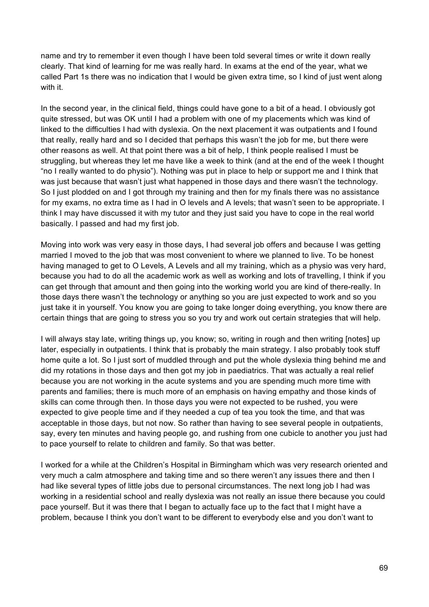name and try to remember it even though I have been told several times or write it down really clearly. That kind of learning for me was really hard. In exams at the end of the year, what we called Part 1s there was no indication that I would be given extra time, so I kind of just went along with it.

In the second year, in the clinical field, things could have gone to a bit of a head. I obviously got quite stressed, but was OK until I had a problem with one of my placements which was kind of linked to the difficulties I had with dyslexia. On the next placement it was outpatients and I found that really, really hard and so I decided that perhaps this wasn't the job for me, but there were other reasons as well. At that point there was a bit of help, I think people realised I must be struggling, but whereas they let me have like a week to think (and at the end of the week I thought "no I really wanted to do physio"). Nothing was put in place to help or support me and I think that was just because that wasn't just what happened in those days and there wasn't the technology. So I just plodded on and I got through my training and then for my finals there was no assistance for my exams, no extra time as I had in O levels and A levels; that wasn't seen to be appropriate. I think I may have discussed it with my tutor and they just said you have to cope in the real world basically. I passed and had my first job.

Moving into work was very easy in those days, I had several job offers and because I was getting married I moved to the job that was most convenient to where we planned to live. To be honest having managed to get to O Levels, A Levels and all my training, which as a physio was very hard, because you had to do all the academic work as well as working and lots of travelling, I think if you can get through that amount and then going into the working world you are kind of there-really. In those days there wasn't the technology or anything so you are just expected to work and so you just take it in yourself. You know you are going to take longer doing everything, you know there are certain things that are going to stress you so you try and work out certain strategies that will help.

I will always stay late, writing things up, you know; so, writing in rough and then writing [notes] up later, especially in outpatients. I think that is probably the main strategy. I also probably took stuff home quite a lot. So I just sort of muddled through and put the whole dyslexia thing behind me and did my rotations in those days and then got my job in paediatrics. That was actually a real relief because you are not working in the acute systems and you are spending much more time with parents and families; there is much more of an emphasis on having empathy and those kinds of skills can come through then. In those days you were not expected to be rushed, you were expected to give people time and if they needed a cup of tea you took the time, and that was acceptable in those days, but not now. So rather than having to see several people in outpatients, say, every ten minutes and having people go, and rushing from one cubicle to another you just had to pace yourself to relate to children and family. So that was better.

I worked for a while at the Children's Hospital in Birmingham which was very research oriented and very much a calm atmosphere and taking time and so there weren't any issues there and then I had like several types of little jobs due to personal circumstances. The next long job I had was working in a residential school and really dyslexia was not really an issue there because you could pace yourself. But it was there that I began to actually face up to the fact that I might have a problem, because I think you don't want to be different to everybody else and you don't want to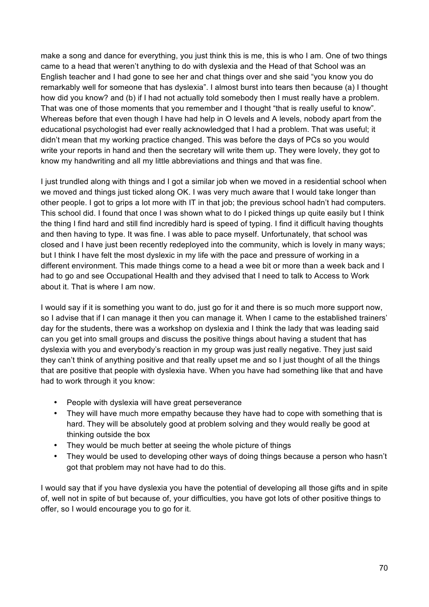make a song and dance for everything, you just think this is me, this is who I am. One of two things came to a head that weren't anything to do with dyslexia and the Head of that School was an English teacher and I had gone to see her and chat things over and she said "you know you do remarkably well for someone that has dyslexia". I almost burst into tears then because (a) I thought how did you know? and (b) if I had not actually told somebody then I must really have a problem. That was one of those moments that you remember and I thought "that is really useful to know". Whereas before that even though I have had help in O levels and A levels, nobody apart from the educational psychologist had ever really acknowledged that I had a problem. That was useful; it didn't mean that my working practice changed. This was before the days of PCs so you would write your reports in hand and then the secretary will write them up. They were lovely, they got to know my handwriting and all my little abbreviations and things and that was fine.

I just trundled along with things and I got a similar job when we moved in a residential school when we moved and things just ticked along OK. I was very much aware that I would take longer than other people. I got to grips a lot more with IT in that job; the previous school hadn't had computers. This school did. I found that once I was shown what to do I picked things up quite easily but I think the thing I find hard and still find incredibly hard is speed of typing. I find it difficult having thoughts and then having to type. It was fine. I was able to pace myself. Unfortunately, that school was closed and I have just been recently redeployed into the community, which is lovely in many ways; but I think I have felt the most dyslexic in my life with the pace and pressure of working in a different environment. This made things come to a head a wee bit or more than a week back and I had to go and see Occupational Health and they advised that I need to talk to Access to Work about it. That is where I am now.

I would say if it is something you want to do, just go for it and there is so much more support now, so I advise that if I can manage it then you can manage it. When I came to the established trainers' day for the students, there was a workshop on dyslexia and I think the lady that was leading said can you get into small groups and discuss the positive things about having a student that has dyslexia with you and everybody's reaction in my group was just really negative. They just said they can't think of anything positive and that really upset me and so I just thought of all the things that are positive that people with dyslexia have. When you have had something like that and have had to work through it you know:

- People with dyslexia will have great perseverance
- They will have much more empathy because they have had to cope with something that is hard. They will be absolutely good at problem solving and they would really be good at thinking outside the box
- They would be much better at seeing the whole picture of things
- They would be used to developing other ways of doing things because a person who hasn't got that problem may not have had to do this.

I would say that if you have dyslexia you have the potential of developing all those gifts and in spite of, well not in spite of but because of, your difficulties, you have got lots of other positive things to offer, so I would encourage you to go for it.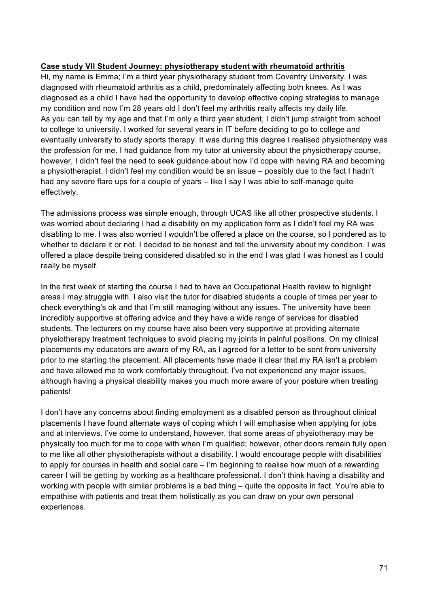## **Case study VII Student Journey: physiotherapy student with rheumatoid arthritis**

Hi, my name is Emma; I'm a third year physiotherapy student from Coventry University. I was diagnosed with rheumatoid arthritis as a child, predominately affecting both knees. As I was diagnosed as a child I have had the opportunity to develop effective coping strategies to manage my condition and now I'm 28 years old I don't feel my arthritis really affects my daily life. As you can tell by my age and that I'm only a third year student, I didn't jump straight from school to college to university. I worked for several years in IT before deciding to go to college and eventually university to study sports therapy. It was during this degree I realised physiotherapy was the profession for me. I had guidance from my tutor at university about the physiotherapy course, however, I didn't feel the need to seek guidance about how I'd cope with having RA and becoming a physiotherapist. I didn't feel my condition would be an issue – possibly due to the fact I hadn't had any severe flare ups for a couple of years – like I say I was able to self-manage quite effectively.

The admissions process was simple enough, through UCAS like all other prospective students. I was worried about declaring I had a disability on my application form as I didn't feel my RA was disabling to me. I was also worried I wouldn't be offered a place on the course, so I pondered as to whether to declare it or not. I decided to be honest and tell the university about my condition. I was offered a place despite being considered disabled so in the end I was glad I was honest as I could really be myself.

In the first week of starting the course I had to have an Occupational Health review to highlight areas I may struggle with. I also visit the tutor for disabled students a couple of times per year to check everything's ok and that I'm still managing without any issues. The university have been incredibly supportive at offering advice and they have a wide range of services for disabled students. The lecturers on my course have also been very supportive at providing alternate physiotherapy treatment techniques to avoid placing my joints in painful positions. On my clinical placements my educators are aware of my RA, as I agreed for a letter to be sent from university prior to me starting the placement. All placements have made it clear that my RA isn't a problem and have allowed me to work comfortably throughout. I've not experienced any major issues, although having a physical disability makes you much more aware of your posture when treating patients!

I don't have any concerns about finding employment as a disabled person as throughout clinical placements I have found alternate ways of coping which I will emphasise when applying for jobs and at interviews. I've come to understand, however, that some areas of physiotherapy may be physically too much for me to cope with when I'm qualified; however, other doors remain fully open to me like all other physiotherapists without a disability. I would encourage people with disabilities to apply for courses in health and social care – I'm beginning to realise how much of a rewarding career I will be getting by working as a healthcare professional. I don't think having a disability and working with people with similar problems is a bad thing – quite the opposite in fact. You're able to empathise with patients and treat them holistically as you can draw on your own personal experiences.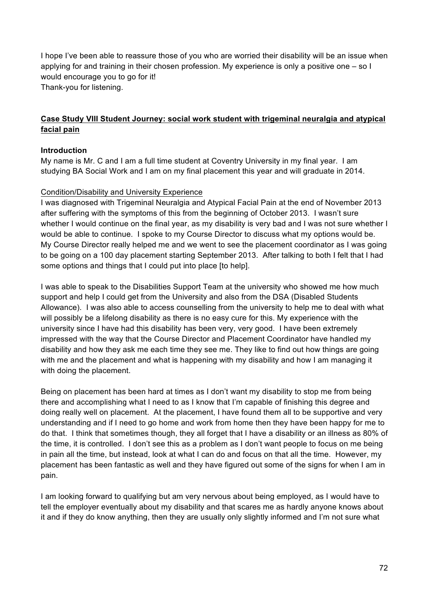I hope I've been able to reassure those of you who are worried their disability will be an issue when applying for and training in their chosen profession. My experience is only a positive one – so I would encourage you to go for it! Thank-you for listening.

## **Case Study VIII Student Journey: social work student with trigeminal neuralgia and atypical facial pain**

## **Introduction**

My name is Mr. C and I am a full time student at Coventry University in my final year. I am studying BA Social Work and I am on my final placement this year and will graduate in 2014.

## Condition/Disability and University Experience

I was diagnosed with Trigeminal Neuralgia and Atypical Facial Pain at the end of November 2013 after suffering with the symptoms of this from the beginning of October 2013. I wasn't sure whether I would continue on the final year, as my disability is very bad and I was not sure whether I would be able to continue. I spoke to my Course Director to discuss what my options would be. My Course Director really helped me and we went to see the placement coordinator as I was going to be going on a 100 day placement starting September 2013. After talking to both I felt that I had some options and things that I could put into place [to help].

I was able to speak to the Disabilities Support Team at the university who showed me how much support and help I could get from the University and also from the DSA (Disabled Students Allowance). I was also able to access counselling from the university to help me to deal with what will possibly be a lifelong disability as there is no easy cure for this. My experience with the university since I have had this disability has been very, very good. I have been extremely impressed with the way that the Course Director and Placement Coordinator have handled my disability and how they ask me each time they see me. They like to find out how things are going with me and the placement and what is happening with my disability and how I am managing it with doing the placement.

Being on placement has been hard at times as I don't want my disability to stop me from being there and accomplishing what I need to as I know that I'm capable of finishing this degree and doing really well on placement. At the placement, I have found them all to be supportive and very understanding and if I need to go home and work from home then they have been happy for me to do that. I think that sometimes though, they all forget that I have a disability or an illness as 80% of the time, it is controlled. I don't see this as a problem as I don't want people to focus on me being in pain all the time, but instead, look at what I can do and focus on that all the time. However, my placement has been fantastic as well and they have figured out some of the signs for when I am in pain.

I am looking forward to qualifying but am very nervous about being employed, as I would have to tell the employer eventually about my disability and that scares me as hardly anyone knows about it and if they do know anything, then they are usually only slightly informed and I'm not sure what